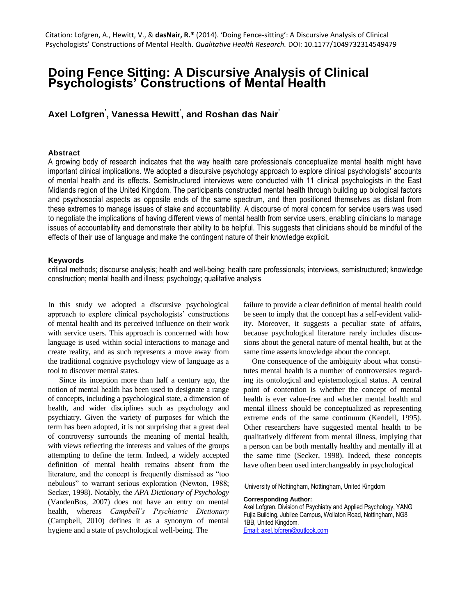Citation: Lofgren, A., Hewitt, V., & **dasNair, R.\*** (2014). 'Doing Fence-sitting': A Discursive Analysis of Clinical Psychologists' Constructions of Mental Health. *Qualitative Health Research.* DOI: 10.1177/1049732314549479

# **Doing Fence Sitting: A Discursive Analysis of Clinical Psychologists' Constructions of Mental Health**

**Axel Lofgren' , Vanessa Hewitt' , and Roshan das Nair'**

### **Abstract**

A growing body of research indicates that the way health care professionals conceptualize mental health might have important clinical implications. We adopted a discursive psychology approach to explore clinical psychologists' accounts of mental health and its effects. Semistructured interviews were conducted with 11 clinical psychologists in the East Midlands region of the United Kingdom. The participants constructed mental health through building up biological factors and psychosocial aspects as opposite ends of the same spectrum, and then positioned themselves as distant from these extremes to manage issues of stake and accountability. A discourse of moral concern for service users was used to negotiate the implications of having different views of mental health from service users, enabling clinicians to manage issues of accountability and demonstrate their ability to be helpful. This suggests that clinicians should be mindful of the effects of their use of language and make the contingent nature of their knowledge explicit.

#### **Keywords**

critical methods; discourse analysis; health and well-being; health care professionals; interviews, semistructured; knowledge construction; mental health and illness; psychology; qualitative analysis

In this study we adopted a discursive psychological approach to explore clinical psychologists' constructions of mental health and its perceived influence on their work with service users. This approach is concerned with how language is used within social interactions to manage and create reality, and as such represents a move away from the traditional cognitive psychology view of language as a tool to discover mental states.

Since its inception more than half a century ago, the notion of mental health has been used to designate a range of concepts, including a psychological state, a dimension of health, and wider disciplines such as psychology and psychiatry. Given the variety of purposes for which the term has been adopted, it is not surprising that a great deal of controversy surrounds the meaning of mental health, with views reflecting the interests and values of the groups attempting to define the term. Indeed, a widely accepted definition of mental health remains absent from the literature, and the concept is frequently dismissed as "too nebulous" to warrant serious exploration (Newton, 1988; Secker, 1998). Notably, the *APA Dictionary of Psychology*  (VandenBos, 2007) does not have an entry on mental health, whereas *Campbell's Psychiatric Dictionary*  (Campbell, 2010) defines it as a synonym of mental hygiene and a state of psychological well-being. The

failure to provide a clear definition of mental health could be seen to imply that the concept has a self-evident validity. Moreover, it suggests a peculiar state of affairs, because psychological literature rarely includes discussions about the general nature of mental health, but at the same time asserts knowledge about the concept.

One consequence of the ambiguity about what constitutes mental health is a number of controversies regarding its ontological and epistemological status. A central point of contention is whether the concept of mental health is ever value-free and whether mental health and mental illness should be conceptualized as representing extreme ends of the same continuum (Kendell, 1995). Other researchers have suggested mental health to be qualitatively different from mental illness, implying that a person can be both mentally healthy and mentally ill at the same time (Secker, 1998). Indeed, these concepts have often been used interchangeably in psychological

<sup>1</sup>University of Nottingham, Nottingham, United Kingdom

#### **Corresponding Author:**

Axel Lofgren, Division of Psychiatry and Applied Psychology, YANG Fujia Building, Jubilee Campus, Wollaton Road, Nottingham, NG8 1BB, United Kingdom. [Email: axel.lofgren@outlook.com](mailto:axel.lofgren@outlook.com)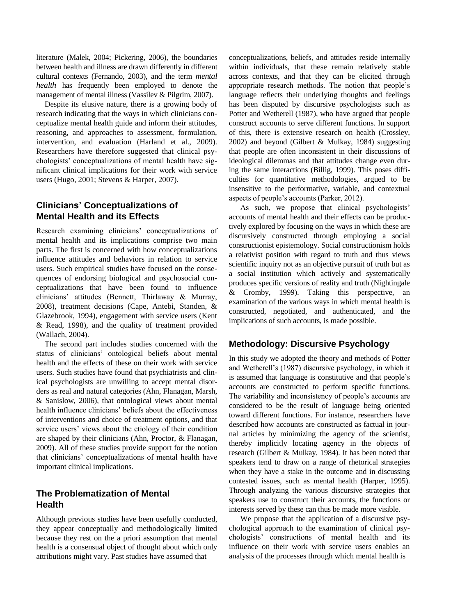literature (Malek, 2004; Pickering, 2006), the boundaries between health and illness are drawn differently in different cultural contexts (Fernando, 2003), and the term *mental health* has frequently been employed to denote the management of mental illness (Vassilev & Pilgrim, 2007).

Despite its elusive nature, there is a growing body of research indicating that the ways in which clinicians conceptualize mental health guide and inform their attitudes, reasoning, and approaches to assessment, formulation, intervention, and evaluation (Harland et al., 2009). Researchers have therefore suggested that clinical psychologists' conceptualizations of mental health have significant clinical implications for their work with service users (Hugo, 2001; Stevens & Harper, 2007).

## **Clinicians' Conceptualizations of Mental Health and its Effects**

Research examining clinicians' conceptualizations of mental health and its implications comprise two main parts. The first is concerned with how conceptualizations influence attitudes and behaviors in relation to service users. Such empirical studies have focused on the consequences of endorsing biological and psychosocial conceptualizations that have been found to influence clinicians' attitudes (Bennett, Thirlaway & Murray, 2008), treatment decisions (Cape, Antebi, Standen, & Glazebrook, 1994), engagement with service users (Kent & Read, 1998), and the quality of treatment provided (Wallach, 2004).

The second part includes studies concerned with the status of clinicians' ontological beliefs about mental health and the effects of these on their work with service users. Such studies have found that psychiatrists and clinical psychologists are unwilling to accept mental disorders as real and natural categories (Ahn, Flanagan, Marsh, & Sanislow, 2006), that ontological views about mental health influence clinicians' beliefs about the effectiveness of interventions and choice of treatment options, and that service users' views about the etiology of their condition are shaped by their clinicians (Ahn, Proctor, & Flanagan, 2009). All of these studies provide support for the notion that clinicians' conceptualizations of mental health have important clinical implications.

# **The Problematization of Mental Health**

Although previous studies have been usefully conducted, they appear conceptually and methodologically limited because they rest on the a priori assumption that mental health is a consensual object of thought about which only attributions might vary. Past studies have assumed that

conceptualizations, beliefs, and attitudes reside internally within individuals, that these remain relatively stable across contexts, and that they can be elicited through appropriate research methods. The notion that people's language reflects their underlying thoughts and feelings has been disputed by discursive psychologists such as Potter and Wetherell (1987), who have argued that people construct accounts to serve different functions. In support of this, there is extensive research on health (Crossley, 2002) and beyond (Gilbert & Mulkay, 1984) suggesting that people are often inconsistent in their discussions of ideological dilemmas and that attitudes change even during the same interactions (Billig, 1999). This poses difficulties for quantitative methodologies, argued to be insensitive to the performative, variable, and contextual aspects of people's accounts (Parker, 2012).

As such, we propose that clinical psychologists' accounts of mental health and their effects can be productively explored by focusing on the ways in which these are discursively constructed through employing a social constructionist epistemology. Social constructionism holds a relativist position with regard to truth and thus views scientific inquiry not as an objective pursuit of truth but as a social institution which actively and systematically produces specific versions of reality and truth (Nightingale & Cromby, 1999). Taking this perspective, an examination of the various ways in which mental health is constructed, negotiated, and authenticated, and the implications of such accounts, is made possible.

### **Methodology: Discursive Psychology**

In this study we adopted the theory and methods of Potter and Wetherell's (1987) discursive psychology, in which it is assumed that language is constitutive and that people's accounts are constructed to perform specific functions. The variability and inconsistency of people's accounts are considered to be the result of language being oriented toward different functions. For instance, researchers have described how accounts are constructed as factual in journal articles by minimizing the agency of the scientist, thereby implicitly locating agency in the objects of research (Gilbert & Mulkay, 1984). It has been noted that speakers tend to draw on a range of rhetorical strategies when they have a stake in the outcome and in discussing contested issues, such as mental health (Harper, 1995). Through analyzing the various discursive strategies that speakers use to construct their accounts, the functions or interests served by these can thus be made more visible.

We propose that the application of a discursive psychological approach to the examination of clinical psychologists' constructions of mental health and its influence on their work with service users enables an analysis of the processes through which mental health is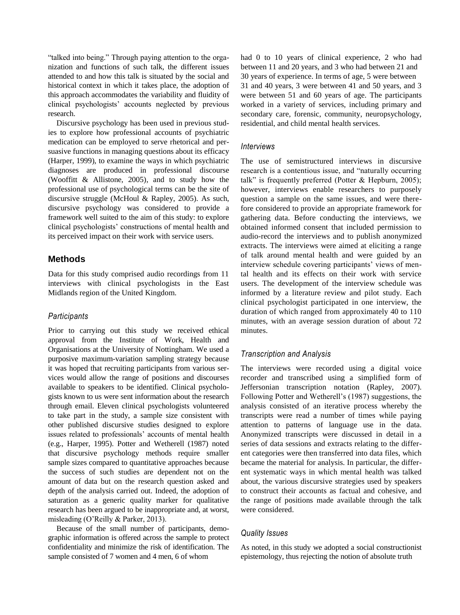"talked into being." Through paying attention to the organization and functions of such talk, the different issues attended to and how this talk is situated by the social and historical context in which it takes place, the adoption of this approach accommodates the variability and fluidity of clinical psychologists' accounts neglected by previous research.

Discursive psychology has been used in previous studies to explore how professional accounts of psychiatric medication can be employed to serve rhetorical and persuasive functions in managing questions about its efficacy (Harper, 1999), to examine the ways in which psychiatric diagnoses are produced in professional discourse (Wooffitt & Allistone, 2005), and to study how the professional use of psychological terms can be the site of discursive struggle (McHoul & Rapley, 2005). As such, discursive psychology was considered to provide a framework well suited to the aim of this study: to explore clinical psychologists' constructions of mental health and its perceived impact on their work with service users.

### **Methods**

Data for this study comprised audio recordings from 11 interviews with clinical psychologists in the East Midlands region of the United Kingdom.

### *Participants*

Prior to carrying out this study we received ethical approval from the Institute of Work, Health and Organisations at the University of Nottingham. We used a purposive maximum-variation sampling strategy because it was hoped that recruiting participants from various services would allow the range of positions and discourses available to speakers to be identified. Clinical psychologists known to us were sent information about the research through email. Eleven clinical psychologists volunteered to take part in the study, a sample size consistent with other published discursive studies designed to explore issues related to professionals' accounts of mental health (e.g., Harper, 1995). Potter and Wetherell (1987) noted that discursive psychology methods require smaller sample sizes compared to quantitative approaches because the success of such studies are dependent not on the amount of data but on the research question asked and depth of the analysis carried out. Indeed, the adoption of saturation as a generic quality marker for qualitative research has been argued to be inappropriate and, at worst, misleading (O'Reilly & Parker, 2013).

Because of the small number of participants, demographic information is offered across the sample to protect confidentiality and minimize the risk of identification. The sample consisted of 7 women and 4 men, 6 of whom

had 0 to 10 years of clinical experience, 2 who had between 11 and 20 years, and 3 who had between 21 and 30 years of experience. In terms of age, 5 were between 31 and 40 years, 3 were between 41 and 50 years, and 3 were between 51 and 60 years of age. The participants worked in a variety of services, including primary and secondary care, forensic, community, neuropsychology, residential, and child mental health services.

### *Interviews*

The use of semistructured interviews in discursive research is a contentious issue, and "naturally occurring talk" is frequently preferred (Potter & Hepburn, 2005); however, interviews enable researchers to purposely question a sample on the same issues, and were therefore considered to provide an appropriate framework for gathering data. Before conducting the interviews, we obtained informed consent that included permission to audio-record the interviews and to publish anonymized extracts. The interviews were aimed at eliciting a range of talk around mental health and were guided by an interview schedule covering participants' views of mental health and its effects on their work with service users. The development of the interview schedule was informed by a literature review and pilot study. Each clinical psychologist participated in one interview, the duration of which ranged from approximately 40 to 110 minutes, with an average session duration of about 72 minutes.

### *Transcription and Analysis*

The interviews were recorded using a digital voice recorder and transcribed using a simplified form of Jeffersonian transcription notation (Rapley, 2007). Following Potter and Wetherell's (1987) suggestions, the analysis consisted of an iterative process whereby the transcripts were read a number of times while paying attention to patterns of language use in the data. Anonymized transcripts were discussed in detail in a series of data sessions and extracts relating to the different categories were then transferred into data files, which became the material for analysis. In particular, the different systematic ways in which mental health was talked about, the various discursive strategies used by speakers to construct their accounts as factual and cohesive, and the range of positions made available through the talk were considered.

### *Quality Issues*

As noted, in this study we adopted a social constructionist epistemology, thus rejecting the notion of absolute truth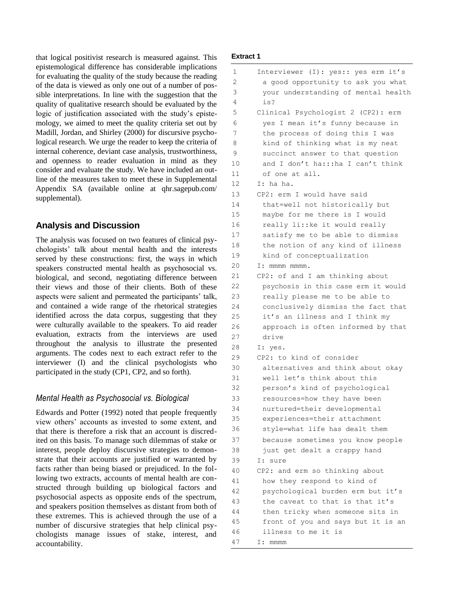that logical positivist research is measured against. This epistemological difference has considerable implications for evaluating the quality of the study because the reading of the data is viewed as only one out of a number of possible interpretations. In line with the suggestion that the quality of qualitative research should be evaluated by the logic of justification associated with the study's epistemology, we aimed to meet the quality criteria set out by Madill, Jordan, and Shirley (2000) for discursive psychological research. We urge the reader to keep the criteria of internal coherence, deviant case analysis, trustworthiness, and openness to reader evaluation in mind as they consider and evaluate the study. We have included an outline of the measures taken to meet these in Supplemental Appendix SA (available online at qhr.sagepub.com/ supplemental).

# **Analysis and Discussion**

The analysis was focused on two features of clinical psychologists' talk about mental health and the interests served by these constructions: first, the ways in which speakers constructed mental health as psychosocial vs. biological, and second, negotiating difference between their views and those of their clients. Both of these aspects were salient and permeated the participants' talk, and contained a wide range of the rhetorical strategies identified across the data corpus, suggesting that they were culturally available to the speakers. To aid reader evaluation, extracts from the interviews are used throughout the analysis to illustrate the presented arguments. The codes next to each extract refer to the interviewer (I) and the clinical psychologists who participated in the study (CP1, CP2, and so forth).

### *Mental Health as Psychosocial vs. Biological*

Edwards and Potter (1992) noted that people frequently view others' accounts as invested to some extent, and that there is therefore a risk that an account is discredited on this basis. To manage such dilemmas of stake or interest, people deploy discursive strategies to demonstrate that their accounts are justified or warranted by facts rather than being biased or prejudiced. In the following two extracts, accounts of mental health are constructed through building up biological factors and psychosocial aspects as opposite ends of the spectrum, and speakers position themselves as distant from both of these extremes. This is achieved through the use of a number of discursive strategies that help clinical psychologists manage issues of stake, interest, and accountability.

```
1 Interviewer (I): yes:: yes erm it's
2 a good opportunity to ask you what
3 your understanding of mental health
4 is?
5 Clinical Psychologist 2 (CP2): erm
6 yes I mean it's funny because in
7 the process of doing this I was
8 kind of thinking what is my neat
9 succinct answer to that question
10 and I don't ha:::ha I can't think
11 of one at all.
12 I: ha ha.
13 CP2: erm I would have said
14 that=well not historically but
15 maybe for me there is I would
16 really li::ke it would really
17 satisfy me to be able to dismiss
18 the notion of any kind of illness
19 kind of conceptualization
20 I: mmmm mmmm.
21 CP2: of and I am thinking about
22 psychosis in this case erm it would
23 really please me to be able to
24 conclusively dismiss the fact that
25 it's an illness and I think my
26 approach is often informed by that
27 drive
28 I: yes.
29 CP2: to kind of consider
30 alternatives and think about okay
31 well let's think about this
32 person's kind of psychological
33 resources=how they have been
34 nurtured=their developmental
35 experiences=their attachment
36 style=what life has dealt them
37 because sometimes you know people
38 just get dealt a crappy hand
39 I: sure
40 CP2: and erm so thinking about
41 how they respond to kind of
42 psychological burden erm but it's
43 the caveat to that is that it's
44 then tricky when someone sits in
45 front of you and says but it is an
46 illness to me it is
47 I: mmmm
```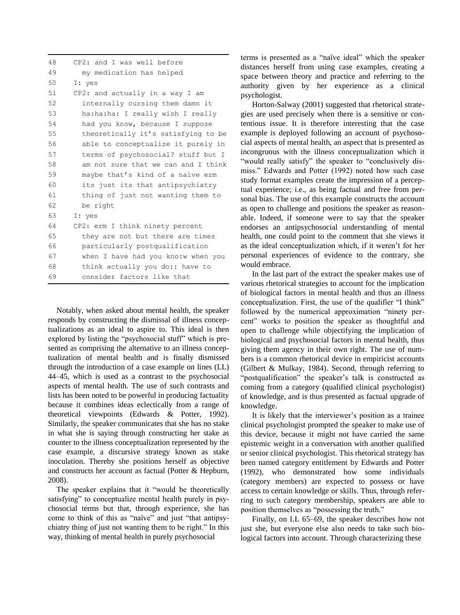| 48 | CP2: and I was well before          |
|----|-------------------------------------|
| 49 | my medication has helped            |
| 50 | I: yes                              |
| 51 | $CP2$ : and actually in a way I am  |
| 52 | internally cursing them damn it     |
| 53 | ha:ha:ha: I really wish I really    |
| 54 | had you know, because I suppose     |
| 55 | theoretically it's satisfying to be |
| 56 | able to conceptualize it purely in  |
| 57 | terms of psychosocial? stuff but I  |
| 58 | am not sure that we can and I think |
| 59 | maybe that's kind of a naïve erm    |
| 60 | its just its that antipsychiatry    |
| 61 | thing of just not wanting them to   |
| 62 | be right                            |
| 63 | I: yes                              |
| 64 | CP2: erm I think ninety percent     |
| 65 | they are not but there are times    |
| 66 | particularly postqualification      |
| 67 | when I have had you kno:w when you  |
| 68 | think actually you do:: have to     |
| 69 | consider factors like that          |
|    |                                     |

Notably, when asked about mental health, the speaker responds by constructing the dismissal of illness conceptualizations as an ideal to aspire to. This ideal is then explored by listing the "psychosocial stuff" which is presented as comprising the alternative to an illness conceptualization of mental health and is finally dismissed through the introduction of a case example on lines (LL) 44–45, which is used as a contrast to the psychosocial aspects of mental health. The use of such contrasts and lists has been noted to be powerful in producing factuality because it combines ideas eclectically from a range of theoretical viewpoints (Edwards & Potter, 1992). Similarly, the speaker communicates that she has no stake in what she is saying through constructing her stake as counter to the illness conceptualization represented by the case example, a discursive strategy known as stake inoculation. Thereby she positions herself as objective and constructs her account as factual (Potter & Hepburn, 2008).

The speaker explains that it "would be theoretically satisfying" to conceptualize mental health purely in psychosocial terms but that, through experience, she has come to think of this as "naïve" and just "that antipsychiatry thing of just not wanting them to be right." In this way, thinking of mental health in purely psychosocial

terms is presented as a "naïve ideal" which the speaker distances herself from using case examples, creating a space between theory and practice and referring to the authority given by her experience as a clinical psychologist.

Horton-Salway (2001) suggested that rhetorical strategies are used precisely when there is a sensitive or contentious issue. It is therefore interesting that the case example is deployed following an account of psychosocial aspects of mental health, an aspect that is presented as incongruous with the illness conceptualization which it "would really satisfy" the speaker to "conclusively dismiss." Edwards and Potter (1992) noted how such case study format examples create the impression of a perceptual experience; i.e., as being factual and free from personal bias. The use of this example constructs the account as open to challenge and positions the speaker as reasonable. Indeed, if someone were to say that the speaker endorses an antipsychosocial understanding of mental health, one could point to the comment that she views it as the ideal conceptualization which, if it weren't for her personal experiences of evidence to the contrary, she would embrace.

In the last part of the extract the speaker makes use of various rhetorical strategies to account for the implication of biological factors in mental health and thus an illness conceptualization. First, the use of the qualifier "I think" followed by the numerical approximation "ninety percent" works to position the speaker as thoughtful and open to challenge while objectifying the implication of biological and psychosocial factors in mental health, thus giving them agency in their own right. The use of numbers is a common rhetorical device in empiricist accounts (Gilbert & Mulkay, 1984). Second, through referring to "postqualification" the speaker's talk is constructed as coming from a category (qualified clinical psychologist) of knowledge, and is thus presented as factual upgrade of knowledge.

It is likely that the interviewer's position as a trainee clinical psychologist prompted the speaker to make use of this device, because it might not have carried the same epistemic weight in a conversation with another qualified or senior clinical psychologist. This rhetorical strategy has been named category entitlement by Edwards and Potter (1992), who demonstrated how some individuals (category members) are expected to possess or have access to certain knowledge or skills. Thus, through referring to such category membership, speakers are able to position themselves as "possessing the truth."

Finally, on LL 65–69, the speaker describes how not just she, but everyone else also needs to take such biological factors into account. Through characterizing these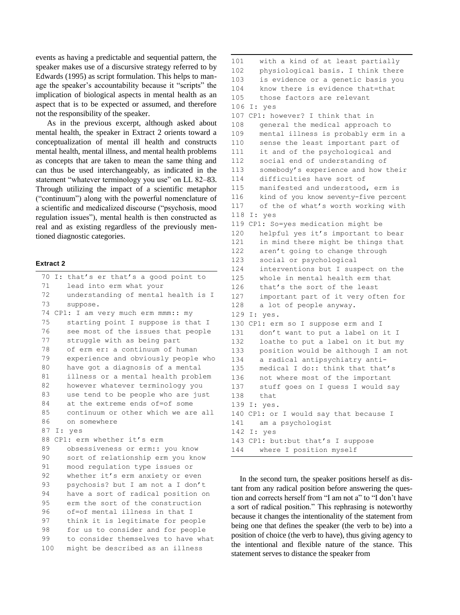events as having a predictable and sequential pattern, the speaker makes use of a discursive strategy referred to by Edwards (1995) as script formulation. This helps to manage the speaker's accountability because it "scripts" the implication of biological aspects in mental health as an aspect that is to be expected or assumed, and therefore not the responsibility of the speaker.

As in the previous excerpt, although asked about mental health, the speaker in Extract 2 orients toward a conceptualization of mental ill health and constructs mental health, mental illness, and mental health problems as concepts that are taken to mean the same thing and can thus be used interchangeably, as indicated in the statement "whatever terminology you use" on LL 82–83. Through utilizing the impact of a scientific metaphor ("continuum") along with the powerful nomenclature of a scientific and medicalized discourse ("psychosis, mood regulation issues"), mental health is then constructed as real and as existing regardless of the previously mentioned diagnostic categories.

#### **Extract 2**

```
70 I: that's er that's a good point to
71 lead into erm what your
72 understanding of mental health is I
73 suppose.
74 CP1: I am very much erm mmm:: my
75 starting point I suppose is that I
76 see most of the issues that people
77 struggle with as being part
78 of erm er: a continuum of human
79 experience and obviously people who
80 have got a diagnosis of a mental
81 illness or a mental health problem
82 however whatever terminology you
83 use tend to be people who are just
84 at the extreme ends of=of some
85 continuum or other which we are all
86 on somewhere
87 I: yes
88 CP1: erm whether it's erm
89 obsessiveness or erm:: you know
90 sort of relationship erm you know
91 mood regulation type issues or
92 whether it's erm anxiety or even
93 psychosis? but I am not a I don't
94 have a sort of radical position on
95 erm the sort of the construction
96 of=of mental illness in that I
97 think it is legitimate for people
98 for us to consider and for people
99 to consider themselves to have what
100 might be described as an illness
```
 with a kind of at least partially physiological basis. I think there is evidence or a genetic basis you know there is evidence that=that those factors are relevant 106 I: yes 107 CP1: however? I think that in 108 general the medical approach to mental illness is probably erm in a sense the least important part of it and of the psychological and social end of understanding of somebody's experience and how their difficulties have sort of manifested and understood, erm is kind of you know seventy-five percent of the of what's worth working with 118 I: yes 119 CP1: So=yes medication might be helpful yes it's important to bear in mind there might be things that aren't going to change through social or psychological interventions but I suspect on the whole in mental health erm that that's the sort of the least important part of it very often for a lot of people anyway. 129 I: yes. 130 CP1: erm so I suppose erm and I don't want to put a label on it I loathe to put a label on it but my position would be although I am not a radical antipsychiatry anti-135 medical I do:: think that that's not where most of the important stuff goes on I guess I would say 138 that 139 I: yes. 140 CP1: or I would say that because I am a psychologist 142 I: yes 143 CP1: but:but that's I suppose where I position myself

In the second turn, the speaker positions herself as distant from any radical position before answering the question and corrects herself from "I am not a" to "I don't have a sort of radical position." This rephrasing is noteworthy because it changes the intentionality of the statement from being one that defines the speaker (the verb to be) into a position of choice (the verb to have), thus giving agency to the intentional and flexible nature of the stance. This statement serves to distance the speaker from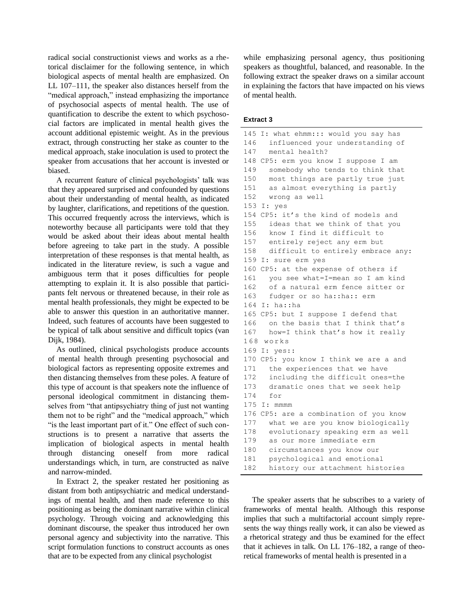radical social constructionist views and works as a rhetorical disclaimer for the following sentence, in which biological aspects of mental health are emphasized. On LL 107–111, the speaker also distances herself from the "medical approach," instead emphasizing the importance of psychosocial aspects of mental health. The use of quantification to describe the extent to which psychosocial factors are implicated in mental health gives the account additional epistemic weight. As in the previous extract, through constructing her stake as counter to the medical approach, stake inoculation is used to protect the speaker from accusations that her account is invested or biased.

A recurrent feature of clinical psychologists' talk was that they appeared surprised and confounded by questions about their understanding of mental health, as indicated by laughter, clarifications, and repetitions of the question. This occurred frequently across the interviews, which is noteworthy because all participants were told that they would be asked about their ideas about mental health before agreeing to take part in the study. A possible interpretation of these responses is that mental health, as indicated in the literature review, is such a vague and ambiguous term that it poses difficulties for people attempting to explain it. It is also possible that participants felt nervous or threatened because, in their role as mental health professionals, they might be expected to be able to answer this question in an authoritative manner. Indeed, such features of accounts have been suggested to be typical of talk about sensitive and difficult topics (van Dijk, 1984).

As outlined, clinical psychologists produce accounts of mental health through presenting psychosocial and biological factors as representing opposite extremes and then distancing themselves from these poles. A feature of this type of account is that speakers note the influence of personal ideological commitment in distancing themselves from "that antipsychiatry thing of just not wanting them not to be right" and the "medical approach," which "is the least important part of it." One effect of such constructions is to present a narrative that asserts the implication of biological aspects in mental health through distancing oneself from more radical understandings which, in turn, are constructed as naïve and narrow-minded.

In Extract 2, the speaker restated her positioning as distant from both antipsychiatric and medical understandings of mental health, and then made reference to this positioning as being the dominant narrative within clinical psychology. Through voicing and acknowledging this dominant discourse, the speaker thus introduced her own personal agency and subjectivity into the narrative. This script formulation functions to construct accounts as ones that are to be expected from any clinical psychologist

while emphasizing personal agency, thus positioning speakers as thoughtful, balanced, and reasonable. In the following extract the speaker draws on a similar account in explaining the factors that have impacted on his views of mental health.

### **Extract 3**

```
145 I: what ehmm::: would you say has
146 influenced your understanding of
147 mental health?
148 CP5: erm you know I suppose I am
149 somebody who tends to think that
150 most things are partly true just
151 as almost everything is partly
152 wrong as well
153 I: yes
154 CP5: it's the kind of models and
155 ideas that we think of that you
156 know I find it difficult to
157 entirely reject any erm but
158 difficult to entirely embrace any:
159 I: sure erm yes
160 CP5: at the expense of others if
161 you see what=I=mean so I am kind
162 of a natural erm fence sitter or
163 fudger or so ha::ha:: erm
164 I: ha::ha
165 CP5: but I suppose I defend that
166 on the basis that I think that's
167 how=I think that's how it really
168 works
169 I: yes::
170 CP5: you know I think we are a and
171 the experiences that we have
172 including the difficult ones=the
173 dramatic ones that we seek help
174 for
175 I: mmmm
176 CP5: are a combination of you know
177 what we are you know biologically
178 evolutionary speaking erm as well
179 as our more immediate erm
180 circumstances you know our
181 psychological and emotional
182 history our attachment histories
```
The speaker asserts that he subscribes to a variety of frameworks of mental health. Although this response implies that such a multifactorial account simply represents the way things really work, it can also be viewed as a rhetorical strategy and thus be examined for the effect that it achieves in talk. On LL 176–182, a range of theoretical frameworks of mental health is presented in a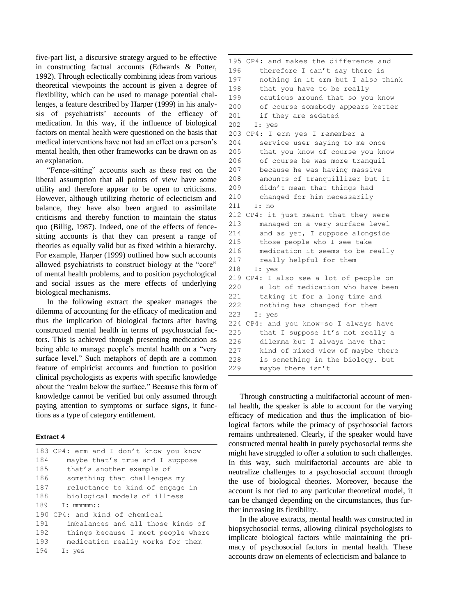five-part list, a discursive strategy argued to be effective in constructing factual accounts (Edwards & Potter, 1992). Through eclectically combining ideas from various theoretical viewpoints the account is given a degree of flexibility, which can be used to manage potential challenges, a feature described by Harper (1999) in his analysis of psychiatrists' accounts of the efficacy of medication. In this way, if the influence of biological factors on mental health were questioned on the basis that medical interventions have not had an effect on a person's mental health, then other frameworks can be drawn on as an explanation.

"Fence-sitting" accounts such as these rest on the liberal assumption that all points of view have some utility and therefore appear to be open to criticisms. However, although utilizing rhetoric of eclecticism and balance, they have also been argued to assimilate criticisms and thereby function to maintain the status quo (Billig, 1987). Indeed, one of the effects of fencesitting accounts is that they can present a range of theories as equally valid but as fixed within a hierarchy. For example, Harper (1999) outlined how such accounts allowed psychiatrists to construct biology at the "core" of mental health problems, and to position psychological and social issues as the mere effects of underlying biological mechanisms.

In the following extract the speaker manages the dilemma of accounting for the efficacy of medication and thus the implication of biological factors after having constructed mental health in terms of psychosocial factors. This is achieved through presenting medication as being able to manage people's mental health on a "very surface level." Such metaphors of depth are a common feature of empiricist accounts and function to position clinical psychologists as experts with specific knowledge about the "realm below the surface." Because this form of knowledge cannot be verified but only assumed through paying attention to symptoms or surface signs, it functions as a type of category entitlement.

#### **Extract 4**

|     | 183 CP4: erm and I don't know you know |
|-----|----------------------------------------|
| 184 | maybe that's true and I suppose        |
| 185 | that's another example of              |
| 186 | something that challenges my           |
| 187 | reluctance to kind of engage in        |
| 188 | biological models of illness           |
| 189 | $I:$ mmmmm:                            |
|     | 190 CP4: and kind of chemical          |
| 191 | imbalances and all those kinds of      |
| 192 | things because I meet people where     |
| 193 | medication really works for them       |
| 194 | I: ves                                 |

```
195 CP4: and makes the difference and
196 therefore I can't say there is
197 nothing in it erm but I also think
198 that you have to be really
199 cautious around that so you know
200 of course somebody appears better
201 if they are sedated
202 I: yes
203 CP4: I erm yes I remember a
204 service user saying to me once
205 that you know of course you know
206 of course he was more tranquil
207 because he was having massive
208 amounts of tranquillizer but it
209 didn't mean that things had
210 changed for him necessarily
211 I: no
212 CP4: it just meant that they were
213 managed on a very surface level
214 and as yet, I suppose alongside
215 those people who I see take
216 medication it seems to be really
217 really helpful for them
218 I: yes
219 CP4: I also see a lot of people on
220 a lot of medication who have been
221 taking it for a long time and
222 nothing has changed for them
223 I: yes
224 CP4: and you know=so I always have
225 that I suppose it's not really a
226 dilemma but I always have that
227 kind of mixed view of maybe there
228 is something in the biology. but
229 maybe there isn't
```
Through constructing a multifactorial account of mental health, the speaker is able to account for the varying efficacy of medication and thus the implication of biological factors while the primacy of psychosocial factors remains unthreatened. Clearly, if the speaker would have constructed mental health in purely psychosocial terms she might have struggled to offer a solution to such challenges. In this way, such multifactorial accounts are able to neutralize challenges to a psychosocial account through the use of biological theories. Moreover, because the account is not tied to any particular theoretical model, it can be changed depending on the circumstances, thus further increasing its flexibility.

In the above extracts, mental health was constructed in biopsychosocial terms, allowing clinical psychologists to implicate biological factors while maintaining the primacy of psychosocial factors in mental health. These accounts draw on elements of eclecticism and balance to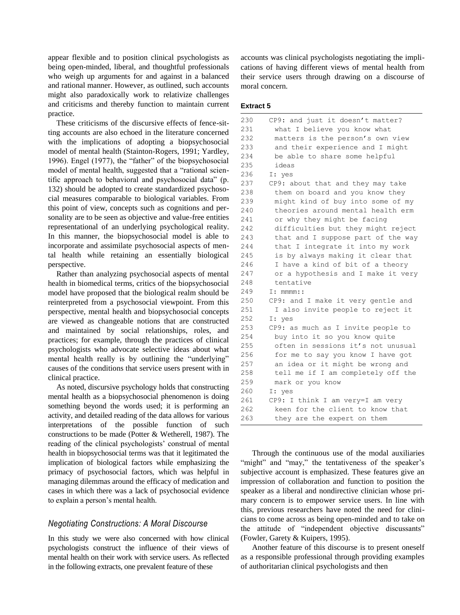appear flexible and to position clinical psychologists as being open-minded, liberal, and thoughtful professionals who weigh up arguments for and against in a balanced and rational manner. However, as outlined, such accounts might also paradoxically work to relativize challenges and criticisms and thereby function to maintain current practice.

These criticisms of the discursive effects of fence-sitting accounts are also echoed in the literature concerned with the implications of adopting a biopsychosocial model of mental health (Stainton-Rogers, 1991; Yardley, 1996). Engel (1977), the "father" of the biopsychosocial model of mental health, suggested that a "rational scientific approach to behavioral and psychosocial data" (p. 132) should be adopted to create standardized psychosocial measures comparable to biological variables. From this point of view, concepts such as cognitions and personality are to be seen as objective and value-free entities representational of an underlying psychological reality. In this manner, the biopsychosocial model is able to incorporate and assimilate psychosocial aspects of mental health while retaining an essentially biological perspective.

Rather than analyzing psychosocial aspects of mental health in biomedical terms, critics of the biopsychosocial model have proposed that the biological realm should be reinterpreted from a psychosocial viewpoint. From this perspective, mental health and biopsychosocial concepts are viewed as changeable notions that are constructed and maintained by social relationships, roles, and practices; for example, through the practices of clinical psychologists who advocate selective ideas about what mental health really is by outlining the "underlying" causes of the conditions that service users present with in clinical practice.

As noted, discursive psychology holds that constructing mental health as a biopsychosocial phenomenon is doing something beyond the words used; it is performing an activity, and detailed reading of the data allows for various interpretations of the possible function of such constructions to be made (Potter & Wetherell, 1987). The reading of the clinical psychologists' construal of mental health in biopsychosocial terms was that it legitimated the implication of biological factors while emphasizing the primacy of psychosocial factors, which was helpful in managing dilemmas around the efficacy of medication and cases in which there was a lack of psychosocial evidence to explain a person's mental health.

### *Negotiating Constructions: A Moral Discourse*

In this study we were also concerned with how clinical psychologists construct the influence of their views of mental health on their work with service users. As reflected in the following extracts, one prevalent feature of these

accounts was clinical psychologists negotiating the implications of having different views of mental health from their service users through drawing on a discourse of moral concern.

### **Extract 5**

| 230 | CP9: and just it doesn't matter?   |
|-----|------------------------------------|
| 231 | what I believe you know what       |
| 232 | matters is the person's own view   |
| 233 | and their experience and I might   |
| 234 | be able to share some helpful      |
| 235 | ideas                              |
| 236 | I: yes                             |
| 237 | CP9: about that and they may take  |
| 238 | them on board and you know they    |
| 239 | might kind of buy into some of my  |
| 240 | theories around mental health erm  |
| 241 | or why they might be facing        |
| 242 | difficulties but they might reject |
| 243 | that and I suppose part of the way |
| 244 | that I integrate it into my work   |
| 245 | is by always making it clear that  |
| 246 | I have a kind of bit of a theory   |
| 247 | or a hypothesis and I make it very |
| 248 | tentative                          |
| 249 | $I:$ mmmm::                        |
| 250 | CP9: and I make it very gentle and |
| 251 | I also invite people to reject it  |
| 252 | I: yes                             |
| 253 | CP9: as much as I invite people to |
| 254 | buy into it so you know quite      |
| 255 | often in sessions it's not unusual |
| 256 | for me to say you know I have got  |
| 257 | an idea or it might be wrong and   |
| 258 | tell me if I am completely off the |
| 259 | mark or you know                   |
| 260 | I: yes                             |
| 261 | CP9: I think I am very=I am very   |
| 262 | keen for the client to know that   |
| 263 | they are the expert on them        |

Through the continuous use of the modal auxiliaries "might" and "may," the tentativeness of the speaker's subjective account is emphasized. These features give an impression of collaboration and function to position the speaker as a liberal and nondirective clinician whose primary concern is to empower service users. In line with this, previous researchers have noted the need for clinicians to come across as being open-minded and to take on the attitude of "independent objective discussants" (Fowler, Garety & Kuipers, 1995).

Another feature of this discourse is to present oneself as a responsible professional through providing examples of authoritarian clinical psychologists and then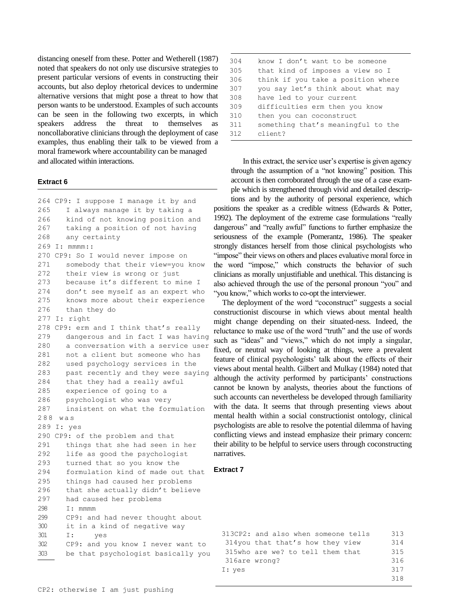distancing oneself from these. Potter and Wetherell (1987) noted that speakers do not only use discursive strategies to present particular versions of events in constructing their accounts, but also deploy rhetorical devices to undermine alternative versions that might pose a threat to how that person wants to be understood. Examples of such accounts can be seen in the following two excerpts, in which speakers address the threat to themselves as noncollaborative clinicians through the deployment of case examples, thus enabling their talk to be viewed from a moral framework where accountability can be managed

#### **Extract 6**

```
264 CP9: I suppose I manage it by and
265 I always manage it by taking a
266 kind of not knowing position and
267 taking a position of not having
268 any certainty
269 I: mmmm::
270 CP9: So I would never impose on
271 somebody that their view=you know
272 their view is wrong or just
273 because it's different to mine I
274 don't see myself as an expert who
275 knows more about their experience
276 than they do
277 I: right
278 CP9: erm and I think that's really
279 dangerous and in fact I was having
280 a conversation with a service user
281 not a client but someone who has
282 used psychology services in the
283 past recently and they were saying
284 that they had a really awful
285 experience of going to a
286 psychologist who was very
287 insistent on what the formulation
288 was
289 I: yes
290 CP9: of the problem and that
291 things that she had seen in her
292 life as good the psychologist
293 turned that so you know the
294 formulation kind of made out that
295 things had caused her problems
296 that she actually didn't believe
297 had caused her problems
298 I: mmmm
299 CP9: and had never thought about
300 it in a kind of negative way
301 I: yes
302 CP9: and you know I never want to
303 be that psychologist basically you
```

```
304 know I don't want to be someone
305 that kind of imposes a view so I
306 think if you take a position where
307 you say let's think about what may
308 have led to your current
309 difficulties erm then you know
310 then you can coconstruct
311 something that's meaningful to the
312 client?
```
and allocated within interactions. In this extract, the service user's expertise is given agency through the assumption of a "not knowing" position. This account is then corroborated through the use of a case example which is strengthened through vivid and detailed descriptions and by the authority of personal experience, which positions the speaker as a credible witness (Edwards & Potter, 1992). The deployment of the extreme case formulations "really dangerous" and "really awful" functions to further emphasize the seriousness of the example (Pomerantz, 1986). The speaker strongly distances herself from those clinical psychologists who "impose" their views on others and places evaluative moral force in the word "impose," which constructs the behavior of such clinicians as morally unjustifiable and unethical. This distancing is also achieved through the use of the personal pronoun "you" and "you know," which works to co-opt the interviewer.

> The deployment of the word "coconstruct" suggests a social constructionist discourse in which views about mental health might change depending on their situated-ness. Indeed, the reluctance to make use of the word "truth" and the use of words such as "ideas" and "views," which do not imply a singular, fixed, or neutral way of looking at things, were a prevalent feature of clinical psychologists' talk about the effects of their views about mental health. Gilbert and Mulkay (1984) noted that although the activity performed by participants' constructions cannot be known by analysts, theories about the functions of such accounts can nevertheless be developed through familiarity with the data. It seems that through presenting views about mental health within a social constructionist ontology, clinical psychologists are able to resolve the potential dilemma of having conflicting views and instead emphasize their primary concern: their ability to be helpful to service users through coconstructing narratives.

|               | 313CP2: and also when someone tells | 313 |
|---------------|-------------------------------------|-----|
|               | 314you that that's how they view    | 314 |
|               | 315who are we? to tell them that    | 315 |
| 316are wrong? |                                     | 316 |
| I: ves        |                                     | 317 |
|               |                                     | 318 |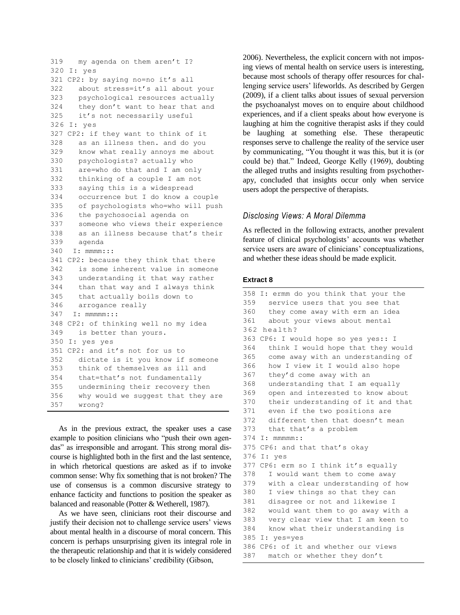```
319 my agenda on them aren't I?
320 I: yes
321 CP2: by saying no=no it's all
322 about stress=it's all about your
323 psychological resources actually
324 they don't want to hear that and
325 it's not necessarily useful
326 I: yes
327 CP2: if they want to think of it
328 as an illness then. and do you
329 know what really annoys me about
330 psychologists? actually who
331 are=who do that and I am only
332 thinking of a couple I am not
333 saying this is a widespread
334 occurrence but I do know a couple
335 of psychologists who=who will push
336 the psychosocial agenda on
337 someone who views their experience
338 as an illness because that's their
339 agenda
340 I: mmmm:::
341 CP2: because they think that there
342 is some inherent value in someone
343 understanding it that way rather
344 than that way and I always think
345 that actually boils down to
346 arrogance really
347 I: mmmmm:::
348 CP2: of thinking well no my idea
349 is better than yours.
350 I: yes yes
351 CP2: and it's not for us to
352 dictate is it you know if someone
353 think of themselves as ill and
354 that=that's not fundamentally
355 undermining their recovery then
356 why would we suggest that they are
357 wrong?
```
As in the previous extract, the speaker uses a case example to position clinicians who "push their own agendas" as irresponsible and arrogant. This strong moral discourse is highlighted both in the first and the last sentence, in which rhetorical questions are asked as if to invoke common sense: Why fix something that is not broken? The use of consensus is a common discursive strategy to enhance facticity and functions to position the speaker as balanced and reasonable (Potter & Wetherell, 1987).

As we have seen, clinicians root their discourse and justify their decision not to challenge service users' views about mental health in a discourse of moral concern. This concern is perhaps unsurprising given its integral role in the therapeutic relationship and that it is widely considered to be closely linked to clinicians' credibility (Gibson,

2006). Nevertheless, the explicit concern with not imposing views of mental health on service users is interesting, because most schools of therapy offer resources for challenging service users' lifeworlds. As described by Gergen (2009), if a client talks about issues of sexual perversion the psychoanalyst moves on to enquire about childhood experiences, and if a client speaks about how everyone is laughing at him the cognitive therapist asks if they could be laughing at something else. These therapeutic responses serve to challenge the reality of the service user by communicating, "You thought it was this, but it is (or could be) that." Indeed, George Kelly (1969), doubting the alleged truths and insights resulting from psychotherapy, concluded that insights occur only when service users adopt the perspective of therapists.

### *Disclosing Views: A Moral Dilemma*

As reflected in the following extracts, another prevalent feature of clinical psychologists' accounts was whether service users are aware of clinicians' conceptualizations, and whether these ideas should be made explicit.

```
358 I: ermm do you think that your the
359 service users that you see that
360 they come away with erm an idea
361 about your views about mental
362 health?
363 CP6: I would hope so yes yes:: I
364 think I would hope that they would
365 come away with an understanding of
366 how I view it I would also hope
367 they'd come away with an
368 understanding that I am equally
369 open and interested to know about
370 their understanding of it and that
371 even if the two positions are
372 different then that doesn't mean
373 that that's a problem
374 I: mmmmm::
375 CP6: and that that's okay
376 I: yes
377 CP6: erm so I think it's equally
378 I would want them to come away
379 with a clear understanding of how
380 I view things so that they can
381 disagree or not and likewise I
382 would want them to go away with a
383 very clear view that I am keen to
384 know what their understanding is
385 I: yes=yes
386 CP6: of it and whether our views
387 match or whether they don't
```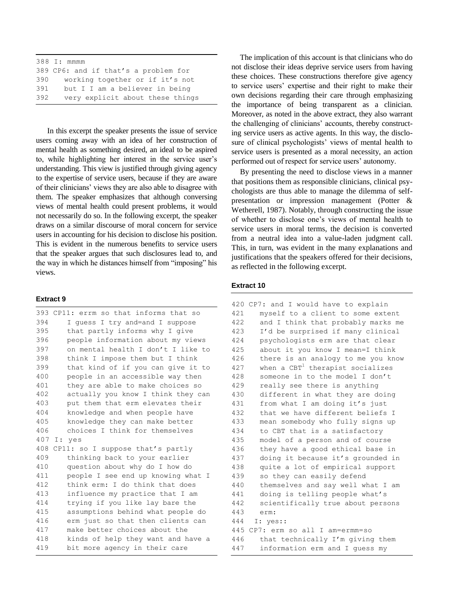|     | 388 I: mmmm                          |
|-----|--------------------------------------|
|     | 389 CP6: and if that's a problem for |
| 390 | working together or if it's not      |
| 391 | but I I am a believer in being       |
| 392 | very explicit about these things     |

In this excerpt the speaker presents the issue of service users coming away with an idea of her construction of mental health as something desired, an ideal to be aspired to, while highlighting her interest in the service user's understanding. This view is justified through giving agency to the expertise of service users, because if they are aware of their clinicians' views they are also able to disagree with them. The speaker emphasizes that although conversing views of mental health could present problems, it would not necessarily do so. In the following excerpt, the speaker draws on a similar discourse of moral concern for service users in accounting for his decision to disclose his position. This is evident in the numerous benefits to service users that the speaker argues that such disclosures lead to, and the way in which he distances himself from "imposing" his views.

#### **Extract 9**

```
393 CP11: errm so that informs that so
394 I guess I try and=and I suppose
395 that partly informs why I give
396 people information about my views
397 on mental health I don't I like to
398 think I impose them but I think
399 that kind of if you can give it to
400 people in an accessible way then
401 they are able to make choices so
402 actually you know I think they can
403 put them that erm elevates their
404 knowledge and when people have
405 knowledge they can make better
406 choices I think for themselves
407 I: yes
408 CP11: so I suppose that's partly
409 thinking back to your earlier
410 question about why do I how do
411 people I see end up knowing what I
412 think erm: I do think that does
413 influence my practice that I am
414 trying if you like lay bare the
415 assumptions behind what people do
416 erm just so that then clients can
417 make better choices about the
418 kinds of help they want and have a
419 bit more agency in their care
```
The implication of this account is that clinicians who do not disclose their ideas deprive service users from having these choices. These constructions therefore give agency to service users' expertise and their right to make their own decisions regarding their care through emphasizing the importance of being transparent as a clinician. Moreover, as noted in the above extract, they also warrant the challenging of clinicians' accounts, thereby constructing service users as active agents. In this way, the disclosure of clinical psychologists' views of mental health to service users is presented as a moral necessity, an action performed out of respect for service users' autonomy.

By presenting the need to disclose views in a manner that positions them as responsible clinicians, clinical psychologists are thus able to manage the dilemma of selfpresentation or impression management (Potter & Wetherell, 1987). Notably, through constructing the issue of whether to disclose one's views of mental health to service users in moral terms, the decision is converted from a neutral idea into a value-laden judgment call. This, in turn, was evident in the many explanations and justifications that the speakers offered for their decisions, as reflected in the following excerpt.

```
420 CP7: and I would have to explain
421 myself to a client to some extent
422 and I think that probably marks me
423 I'd be surprised if many clinical
424 psychologists erm are that clear
425 about it you know I mean=I think
426 there is an analogy to me you know
427 when a CBT<sup>1</sup> therapist socializes
428 someone in to the model I don't
429 really see there is anything
430 different in what they are doing
431 from what I am doing it's just
432 that we have different beliefs I
433 mean somebody who fully signs up
434 to CBT that is a satisfactory
435 model of a person and of course
436 they have a good ethical base in
437 doing it because it's grounded in
438 quite a lot of empirical support
439 so they can easily defend
440 themselves and say well what I am
441 doing is telling people what's
442 scientifically true about persons
443 erm:
444 I: yes::
445 CP7: erm so all I am=ermm=so
446 that technically I'm giving them
447 information erm and I guess my
```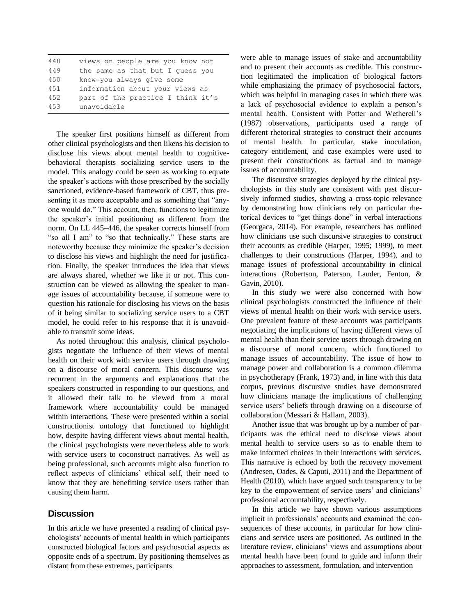| 448 | views on people are you know not  |
|-----|-----------------------------------|
| 449 | the same as that but I quess you  |
| 450 | know=you always give some         |
| 451 | information about your views as   |
| 452 | part of the practice I think it's |
| 453 | unavoidable                       |

The speaker first positions himself as different from other clinical psychologists and then likens his decision to disclose his views about mental health to cognitivebehavioral therapists socializing service users to the model. This analogy could be seen as working to equate the speaker's actions with those prescribed by the socially sanctioned, evidence-based framework of CBT, thus presenting it as more acceptable and as something that "anyone would do." This account, then, functions to legitimize the speaker's initial positioning as different from the norm. On LL 445–446, the speaker corrects himself from "so all I am" to "so that technically." These starts are noteworthy because they minimize the speaker's decision to disclose his views and highlight the need for justification. Finally, the speaker introduces the idea that views are always shared, whether we like it or not. This construction can be viewed as allowing the speaker to manage issues of accountability because, if someone were to question his rationale for disclosing his views on the basis of it being similar to socializing service users to a CBT model, he could refer to his response that it is unavoidable to transmit some ideas.

As noted throughout this analysis, clinical psychologists negotiate the influence of their views of mental health on their work with service users through drawing on a discourse of moral concern. This discourse was recurrent in the arguments and explanations that the speakers constructed in responding to our questions, and it allowed their talk to be viewed from a moral framework where accountability could be managed within interactions. These were presented within a social constructionist ontology that functioned to highlight how, despite having different views about mental health, the clinical psychologists were nevertheless able to work with service users to coconstruct narratives. As well as being professional, such accounts might also function to reflect aspects of clinicians' ethical self, their need to know that they are benefitting service users rather than causing them harm.

### **Discussion**

In this article we have presented a reading of clinical psychologists' accounts of mental health in which participants constructed biological factors and psychosocial aspects as opposite ends of a spectrum. By positioning themselves as distant from these extremes, participants

were able to manage issues of stake and accountability and to present their accounts as credible. This construction legitimated the implication of biological factors while emphasizing the primacy of psychosocial factors, which was helpful in managing cases in which there was a lack of psychosocial evidence to explain a person's mental health. Consistent with Potter and Wetherell's (1987) observations, participants used a range of different rhetorical strategies to construct their accounts of mental health. In particular, stake inoculation, category entitlement, and case examples were used to present their constructions as factual and to manage issues of accountability.

The discursive strategies deployed by the clinical psychologists in this study are consistent with past discursively informed studies, showing a cross-topic relevance by demonstrating how clinicians rely on particular rhetorical devices to "get things done" in verbal interactions (Georgaca, 2014). For example, researchers has outlined how clinicians use such discursive strategies to construct their accounts as credible (Harper, 1995; 1999), to meet challenges to their constructions (Harper, 1994), and to manage issues of professional accountability in clinical interactions (Robertson, Paterson, Lauder, Fenton, & Gavin, 2010).

In this study we were also concerned with how clinical psychologists constructed the influence of their views of mental health on their work with service users. One prevalent feature of these accounts was participants negotiating the implications of having different views of mental health than their service users through drawing on a discourse of moral concern, which functioned to manage issues of accountability. The issue of how to manage power and collaboration is a common dilemma in psychotherapy (Frank, 1973) and, in line with this data corpus, previous discursive studies have demonstrated how clinicians manage the implications of challenging service users' beliefs through drawing on a discourse of collaboration (Messari & Hallam, 2003).

Another issue that was brought up by a number of participants was the ethical need to disclose views about mental health to service users so as to enable them to make informed choices in their interactions with services. This narrative is echoed by both the recovery movement (Andresen, Oades, & Caputi, 2011) and the Department of Health (2010), which have argued such transparency to be key to the empowerment of service users' and clinicians' professional accountability, respectively.

In this article we have shown various assumptions implicit in professionals' accounts and examined the consequences of these accounts, in particular for how clinicians and service users are positioned. As outlined in the literature review, clinicians' views and assumptions about mental health have been found to guide and inform their approaches to assessment, formulation, and intervention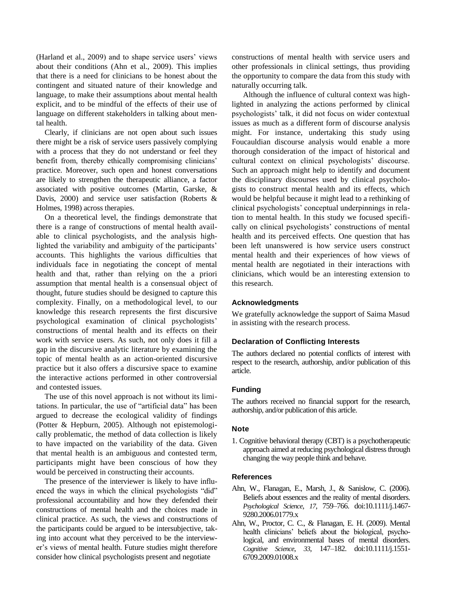(Harland et al., 2009) and to shape service users' views about their conditions (Ahn et al., 2009). This implies that there is a need for clinicians to be honest about the contingent and situated nature of their knowledge and language, to make their assumptions about mental health explicit, and to be mindful of the effects of their use of language on different stakeholders in talking about mental health.

Clearly, if clinicians are not open about such issues there might be a risk of service users passively complying with a process that they do not understand or feel they benefit from, thereby ethically compromising clinicians' practice. Moreover, such open and honest conversations are likely to strengthen the therapeutic alliance, a factor associated with positive outcomes (Martin, Garske, & Davis, 2000) and service user satisfaction (Roberts & Holmes, 1998) across therapies.

On a theoretical level, the findings demonstrate that there is a range of constructions of mental health available to clinical psychologists, and the analysis highlighted the variability and ambiguity of the participants' accounts. This highlights the various difficulties that individuals face in negotiating the concept of mental health and that, rather than relying on the a priori assumption that mental health is a consensual object of thought, future studies should be designed to capture this complexity. Finally, on a methodological level, to our knowledge this research represents the first discursive psychological examination of clinical psychologists' constructions of mental health and its effects on their work with service users. As such, not only does it fill a gap in the discursive analytic literature by examining the topic of mental health as an action-oriented discursive practice but it also offers a discursive space to examine the interactive actions performed in other controversial and contested issues.

The use of this novel approach is not without its limitations. In particular, the use of "artificial data" has been argued to decrease the ecological validity of findings (Potter & Hepburn, 2005). Although not epistemologically problematic, the method of data collection is likely to have impacted on the variability of the data. Given that mental health is an ambiguous and contested term, participants might have been conscious of how they would be perceived in constructing their accounts.

The presence of the interviewer is likely to have influenced the ways in which the clinical psychologists "did" professional accountability and how they defended their constructions of mental health and the choices made in clinical practice. As such, the views and constructions of the participants could be argued to be intersubjective, taking into account what they perceived to be the interviewer's views of mental health. Future studies might therefore consider how clinical psychologists present and negotiate

constructions of mental health with service users and other professionals in clinical settings, thus providing the opportunity to compare the data from this study with naturally occurring talk.

Although the influence of cultural context was highlighted in analyzing the actions performed by clinical psychologists' talk, it did not focus on wider contextual issues as much as a different form of discourse analysis might. For instance, undertaking this study using Foucauldian discourse analysis would enable a more thorough consideration of the impact of historical and cultural context on clinical psychologists' discourse. Such an approach might help to identify and document the disciplinary discourses used by clinical psychologists to construct mental health and its effects, which would be helpful because it might lead to a rethinking of clinical psychologists' conceptual underpinnings in relation to mental health. In this study we focused specifically on clinical psychologists' constructions of mental health and its perceived effects. One question that has been left unanswered is how service users construct mental health and their experiences of how views of mental health are negotiated in their interactions with clinicians, which would be an interesting extension to this research.

### **Acknowledgments**

We gratefully acknowledge the support of Saima Masud in assisting with the research process.

### **Declaration of Conflicting Interests**

The authors declared no potential conflicts of interest with respect to the research, authorship, and/or publication of this article.

### **Funding**

The authors received no financial support for the research, authorship, and/or publication of this article.

### **Note**

1. Cognitive behavioral therapy (CBT) is a psychotherapeutic approach aimed at reducing psychological distress through changing the way people think and behave.

#### **References**

- Ahn, W., Flanagan, E., Marsh, J., & Sanislow, C. (2006). Beliefs about essences and the reality of mental disorders. *Psychological Science*, *17*, 759–766. doi:10.1111/j.1467- 9280.2006.01779.x
- Ahn, W., Proctor, C. C., & Flanagan, E. H. (2009). Mental health clinicians' beliefs about the biological, psychological, and environmental bases of mental disorders. *Cognitive Science*, *33*, 147–182. doi:10.1111/j.1551- 6709.2009.01008.x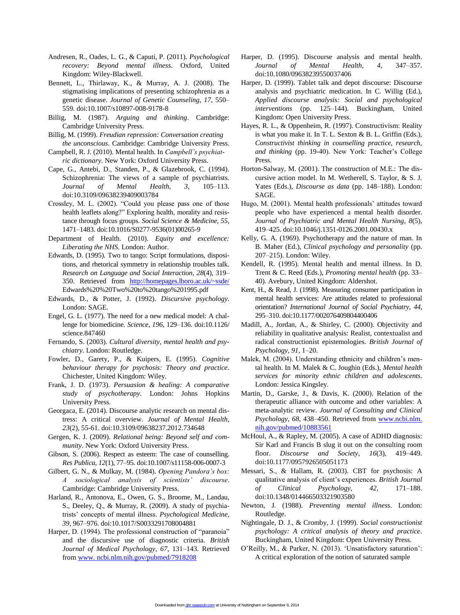- Andresen, R., Oades, L. G., & Caputi, P. (2011). *Psychological recovery: Beyond mental illness*. Oxford, United Kingdom: Wiley-Blackwell.
- Bennett, L., Thirlaway, K., & Murray, A. J. (2008). The stigmatising implications of presenting schizophrenia as a genetic disease. *Journal of Genetic Counseling*, *17*, 550– 559. doi:10.1007/s10897-008-9178-8
- Billig, M. (1987). *Arguing and thinking*. Cambridge: Cambridge University Press.
- Billig, M. (1999). *Freudian repression: Conversation creating the unconscious*. Cambridge: Cambridge University Press.
- Campbell, R. J. (2010). Mental health. In *Campbell's psychiatric dictionary*. New York: Oxford University Press.
- Cape, G., Antebi, D., Standen, P., & Glazebrook, C. (1994). Schizophrenia: The views of a sample of psychiatrists. *Journal of Mental Health*, *3*, 105–113. doi:10.3109/09638239409003784
- Crossley, M. L. (2002). "Could you please pass one of those health leaflets along?" Exploring health, morality and resistance through focus groups. *Social Science & Medicine*, *55*, 1471–1483. doi:10.1016/S0277-9536(01)00265-9
- Department of Health. (2010). *Equity and excellence: Liberating the NHS*. London: Author.
- Edwards, D. (1995). Two to tango: Script formulations, dispositions, and rhetorical symmetry in relationship troubles talk. *Research on Language and Social Interaction*, *28*(4), 319– 350. Retrieved from <http://homepages.lboro.ac.uk/~ssde/> Edwards%20%20Two%20to%20tango%201995.pdf
- Edwards, D., & Potter, J. (1992). *Discursive psychology*. London: SAGE.
- Engel, G. L. (1977). The need for a new medical model: A challenge for biomedicine. *Science*, *196*, 129–136. doi:10.1126/ science.847460
- Fernando, S. (2003). *Cultural diversity, mental health and psychiatry*. London: Routledge.
- Fowler, D., Garety, P., & Kuipers, E. (1995). *Cognitive behaviour therapy for psychosis: Theory and practice*. Chichester, United Kingdom: Wiley.
- Frank, J. D. (1973). *Persuasion & healing: A comparative study of psychotherapy*. London: Johns Hopkins University Press.
- Georgaca, E. (2014). Discourse analytic research on mental distress: A critical overview. *Journal of Mental Health*, *23*(2), 55-61. doi:10.3109/09638237.2012.734648
- Gergen, K. J. (2009). *Relational being: Beyond self and community*. New York: Oxford University Press.
- Gibson, S. (2006). Respect as esteem: The case of counselling. *Res Publica*, *12*(1), 77–95. doi:10.1007/s11158-006-0007-3
- Gilbert, G. N., & Mulkay, M. (1984). *Opening Pandora's box: A sociological analysis of scientists' discourse*. Cambridge: Cambridge University Press.
- Harland, R., Antonova, E., Owen, G. S., Broome, M., Landau, S., Deeley, Q., & Murray, R. (2009). A study of psychiatrists' concepts of mental illness. *Psychological Medicine*, *39*, 967–976. doi:10.1017/S0033291708004881
- Harper, D. (1994). The professional construction of "paranoia" and the discursive use of diagnostic criteria. *British Journal of Medical Psychology*, *67*, 131–143. Retrieved fro[m www. ncbi.nlm.nih.gov/pubmed/7918208](http://www.ncbi.nlm.nih.gov/pubmed/7918208)
- Harper, D. (1995). Discourse analysis and mental health. *Journal of Mental Health*, *4*, 347–357. doi:10.1080/09638239550037406
- Harper, D. (1999). Tablet talk and depot discourse: Discourse analysis and psychiatric medication. In C. Willig (Ed.), *Applied discourse analysis: Social and psychological interventions* (pp. 125–144). Buckingham, United Kingdom: Open University Press.
- Hayes, R. L., & Oppenheim, R. (1997). Constructivism: Reality is what you make it. In T. L. Sexton & B. L. Griffin (Eds.), *Constructivist thinking in counselling practice, research, and thinking* (pp. 19-40). New York: Teacher's College Press.
- Horton-Salway, M. (2001). The construction of M.E.: The discursive action model. In M. Wetherell, S. Taylor, & S. J. Yates (Eds.), *Discourse as data* (pp. 148–188). London: SAGE.
- Hugo, M. (2001). Mental health professionals' attitudes toward people who have experienced a mental health disorder. *Journal of Psychiatric and Mental Health Nursing*, *8*(5), 419–425. doi:10.1046/j.1351-0126.2001.00430.x
- Kelly, G. A. (1969). Psychotherapy and the nature of man. In B. Maher (Ed.), *Clinical psychology and personality* (pp. 207–215). London: Wiley.
- Kendell, R. (1995). Mental health and mental illness. In D. Trent & C. Reed (Eds.), *Promoting mental health* (pp. 33– 40). Avebury, United Kingdom: Aldershot.
- Kent, H., & Read, J. (1998). Measuring consumer participation in mental health services: Are attitudes related to professional orientation? *International Journal of Social Psychiatry*, *44*, 295–310. doi:10.1177/002076409804400406
- Madill, A., Jordan, A., & Shirley, C. (2000). Objectivity and reliability in qualitative analysis: Realist, contextualist and radical constructionist epistemologies. *British Journal of Psychology*, *91*, 1–20.
- Malek, M. (2004). Understanding ethnicity and children's mental health. In M. Malek & C. Joughin (Eds.), *Mental health services for minority ethnic children and adolescents*. London: Jessica Kingsley.
- Martin, D., Garske, J., & Davis, K. (2000). Relation of the therapeutic alliance with outcome and other variables: A meta-analytic review. *Journal of Consulting and Clinical Psychology*, *68*, 438–450. Retrieved from [www.ncbi.nlm.](http://www.ncbi.nlm.nih.gov/pubmed/10883561)  [nih.gov/pubmed/10883561](http://www.ncbi.nlm.nih.gov/pubmed/10883561)
- McHoul, A., & Rapley, M. (2005). A case of ADHD diagnosis: Sir Karl and Francis B slug it out on the consulting room floor. *Discourse and Society*, *16*(3), 419–449. doi:10.1177/0957926505051173
- Messari, S., & Hallam, R. (2003). CBT for psychosis: A qualitative analysis of client's experiences. *British Journal of Clinical Psychology*, *42*, 171–188. doi:10.1348/014466503321903580
- Newton, J. (1988). *Preventing mental illness*. London: Routledge.
- Nightingale, D. J., & Cromby, J. (1999). *Social constructionist psychology: A critical analysis of theory and practice*. Buckingham, United Kingdom: Open University Press.
- O'Reilly, M., & Parker, N. (2013). 'Unsatisfactory saturation': A critical exploration of the notion of saturated sample